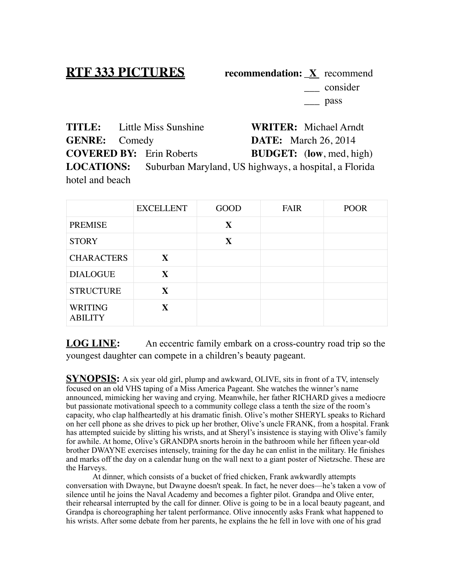## **RTF 333 PICTURES recommendation:** \_**X** recommend

 \_\_\_ consider \_\_\_ pass

|                      | <b>TITLE:</b> Little Miss Sunshine                    |  | <b>WRITER:</b> Michael Arndt    |
|----------------------|-------------------------------------------------------|--|---------------------------------|
| <b>GENRE:</b> Comedy |                                                       |  | <b>DATE:</b> March 26, 2014     |
|                      | <b>COVERED BY:</b> Erin Roberts                       |  | <b>BUDGET:</b> (low, med, high) |
| <b>LOCATIONS:</b>    | Suburban Maryland, US highways, a hospital, a Florida |  |                                 |
| hotel and beach      |                                                       |  |                                 |

|                                  | <b>EXCELLENT</b> | <b>GOOD</b>  | FAIR | <b>POOR</b> |
|----------------------------------|------------------|--------------|------|-------------|
| <b>PREMISE</b>                   |                  | $\mathbf X$  |      |             |
| <b>STORY</b>                     |                  | $\mathbf{X}$ |      |             |
| <b>CHARACTERS</b>                | $\mathbf X$      |              |      |             |
| <b>DIALOGUE</b>                  | $\mathbf X$      |              |      |             |
| <b>STRUCTURE</b>                 | $\mathbf X$      |              |      |             |
| <b>WRITING</b><br><b>ABILITY</b> | $\mathbf X$      |              |      |             |

LOG LINE: An eccentric family embark on a cross-country road trip so the youngest daughter can compete in a children's beauty pageant.

**SYNOPSIS:** A six year old girl, plump and awkward, OLIVE, sits in front of a TV, intensely focused on an old VHS taping of a Miss America Pageant. She watches the winner's name announced, mimicking her waving and crying. Meanwhile, her father RICHARD gives a mediocre but passionate motivational speech to a community college class a tenth the size of the room's capacity, who clap halfheartedly at his dramatic finish. Olive's mother SHERYL speaks to Richard on her cell phone as she drives to pick up her brother, Olive's uncle FRANK, from a hospital. Frank has attempted suicide by slitting his wrists, and at Sheryl's insistence is staying with Olive's family for awhile. At home, Olive's GRANDPA snorts heroin in the bathroom while her fifteen year-old brother DWAYNE exercises intensely, training for the day he can enlist in the military. He finishes and marks off the day on a calendar hung on the wall next to a giant poster of Nietzsche. These are the Harveys.

 At dinner, which consists of a bucket of fried chicken, Frank awkwardly attempts conversation with Dwayne, but Dwayne doesn't speak. In fact, he never does—he's taken a vow of silence until he joins the Naval Academy and becomes a fighter pilot. Grandpa and Olive enter, their rehearsal interrupted by the call for dinner. Olive is going to be in a local beauty pageant, and Grandpa is choreographing her talent performance. Olive innocently asks Frank what happened to his wrists. After some debate from her parents, he explains the he fell in love with one of his grad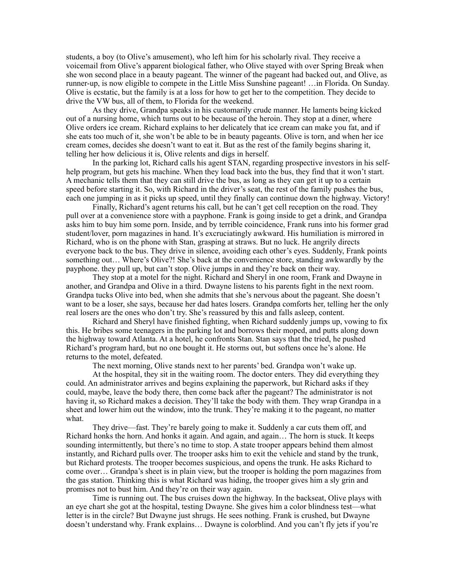students, a boy (to Olive's amusement), who left him for his scholarly rival. They receive a voicemail from Olive's apparent biological father, who Olive stayed with over Spring Break when she won second place in a beauty pageant. The winner of the pageant had backed out, and Olive, as runner-up, is now eligible to compete in the Little Miss Sunshine pageant! …in Florida. On Sunday. Olive is ecstatic, but the family is at a loss for how to get her to the competition. They decide to drive the VW bus, all of them, to Florida for the weekend.

 As they drive, Grandpa speaks in his customarily crude manner. He laments being kicked out of a nursing home, which turns out to be because of the heroin. They stop at a diner, where Olive orders ice cream. Richard explains to her delicately that ice cream can make you fat, and if she eats too much of it, she won't be able to be in beauty pageants. Olive is torn, and when her ice cream comes, decides she doesn't want to eat it. But as the rest of the family begins sharing it, telling her how delicious it is, Olive relents and digs in herself.

 In the parking lot, Richard calls his agent STAN, regarding prospective investors in his selfhelp program, but gets his machine. When they load back into the bus, they find that it won't start. A mechanic tells them that they can still drive the bus, as long as they can get it up to a certain speed before starting it. So, with Richard in the driver's seat, the rest of the family pushes the bus, each one jumping in as it picks up speed, until they finally can continue down the highway. Victory!

 Finally, Richard's agent returns his call, but he can't get cell reception on the road. They pull over at a convenience store with a payphone. Frank is going inside to get a drink, and Grandpa asks him to buy him some porn. Inside, and by terrible coincidence, Frank runs into his former grad student/lover, porn magazines in hand. It's excruciatingly awkward. His humiliation is mirrored in Richard, who is on the phone with Stan, grasping at straws. But no luck. He angrily directs everyone back to the bus. They drive in silence, avoiding each other's eyes. Suddenly, Frank points something out… Where's Olive?! She's back at the convenience store, standing awkwardly by the payphone. they pull up, but can't stop. Olive jumps in and they're back on their way.

 They stop at a motel for the night. Richard and Sheryl in one room, Frank and Dwayne in another, and Grandpa and Olive in a third. Dwayne listens to his parents fight in the next room. Grandpa tucks Olive into bed, when she admits that she's nervous about the pageant. She doesn't want to be a loser, she says, because her dad hates losers. Grandpa comforts her, telling her the only real losers are the ones who don't try. She's reassured by this and falls asleep, content.

 Richard and Sheryl have finished fighting, when Richard suddenly jumps up, vowing to fix this. He bribes some teenagers in the parking lot and borrows their moped, and putts along down the highway toward Atlanta. At a hotel, he confronts Stan. Stan says that the tried, he pushed Richard's program hard, but no one bought it. He storms out, but softens once he's alone. He returns to the motel, defeated.

The next morning, Olive stands next to her parents' bed. Grandpa won't wake up.

 At the hospital, they sit in the waiting room. The doctor enters. They did everything they could. An administrator arrives and begins explaining the paperwork, but Richard asks if they could, maybe, leave the body there, then come back after the pageant? The administrator is not having it, so Richard makes a decision. They'll take the body with them. They wrap Grandpa in a sheet and lower him out the window, into the trunk. They're making it to the pageant, no matter what.

 They drive—fast. They're barely going to make it. Suddenly a car cuts them off, and Richard honks the horn. And honks it again. And again, and again… The horn is stuck. It keeps sounding intermittently, but there's no time to stop. A state trooper appears behind them almost instantly, and Richard pulls over. The trooper asks him to exit the vehicle and stand by the trunk, but Richard protests. The trooper becomes suspicious, and opens the trunk. He asks Richard to come over… Grandpa's sheet is in plain view, but the trooper is holding the porn magazines from the gas station. Thinking this is what Richard was hiding, the trooper gives him a sly grin and promises not to bust him. And they're on their way again.

 Time is running out. The bus cruises down the highway. In the backseat, Olive plays with an eye chart she got at the hospital, testing Dwayne. She gives him a color blindness test—what letter is in the circle? But Dwayne just shrugs. He sees nothing. Frank is crushed, but Dwayne doesn't understand why. Frank explains… Dwayne is colorblind. And you can't fly jets if you're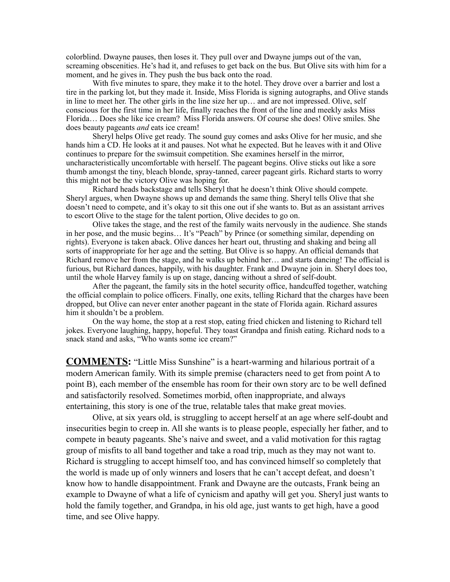colorblind. Dwayne pauses, then loses it. They pull over and Dwayne jumps out of the van, screaming obscenities. He's had it, and refuses to get back on the bus. But Olive sits with him for a moment, and he gives in. They push the bus back onto the road.

 With five minutes to spare, they make it to the hotel. They drove over a barrier and lost a tire in the parking lot, but they made it. Inside, Miss Florida is signing autographs, and Olive stands in line to meet her. The other girls in the line size her up… and are not impressed. Olive, self conscious for the first time in her life, finally reaches the front of the line and meekly asks Miss Florida… Does she like ice cream? Miss Florida answers. Of course she does! Olive smiles. She does beauty pageants *and* eats ice cream!

 Sheryl helps Olive get ready. The sound guy comes and asks Olive for her music, and she hands him a CD. He looks at it and pauses. Not what he expected. But he leaves with it and Olive continues to prepare for the swimsuit competition. She examines herself in the mirror, uncharacteristically uncomfortable with herself. The pageant begins. Olive sticks out like a sore thumb amongst the tiny, bleach blonde, spray-tanned, career pageant girls. Richard starts to worry this might not be the victory Olive was hoping for.

 Richard heads backstage and tells Sheryl that he doesn't think Olive should compete. Sheryl argues, when Dwayne shows up and demands the same thing. Sheryl tells Olive that she doesn't need to compete, and it's okay to sit this one out if she wants to. But as an assistant arrives to escort Olive to the stage for the talent portion, Olive decides to go on.

 Olive takes the stage, and the rest of the family waits nervously in the audience. She stands in her pose, and the music begins… It's "Peach" by Prince (or something similar, depending on rights). Everyone is taken aback. Olive dances her heart out, thrusting and shaking and being all sorts of inappropriate for her age and the setting. But Olive is so happy. An official demands that Richard remove her from the stage, and he walks up behind her… and starts dancing! The official is furious, but Richard dances, happily, with his daughter. Frank and Dwayne join in. Sheryl does too, until the whole Harvey family is up on stage, dancing without a shred of self-doubt.

 After the pageant, the family sits in the hotel security office, handcuffed together, watching the official complain to police officers. Finally, one exits, telling Richard that the charges have been dropped, but Olive can never enter another pageant in the state of Florida again. Richard assures him it shouldn't be a problem.

 On the way home, the stop at a rest stop, eating fried chicken and listening to Richard tell jokes. Everyone laughing, happy, hopeful. They toast Grandpa and finish eating. Richard nods to a snack stand and asks, "Who wants some ice cream?"

**COMMENTS:** "Little Miss Sunshine" is a heart-warming and hilarious portrait of a modern American family. With its simple premise (characters need to get from point A to point B), each member of the ensemble has room for their own story arc to be well defined and satisfactorily resolved. Sometimes morbid, often inappropriate, and always entertaining, this story is one of the true, relatable tales that make great movies.

 Olive, at six years old, is struggling to accept herself at an age where self-doubt and insecurities begin to creep in. All she wants is to please people, especially her father, and to compete in beauty pageants. She's naive and sweet, and a valid motivation for this ragtag group of misfits to all band together and take a road trip, much as they may not want to. Richard is struggling to accept himself too, and has convinced himself so completely that the world is made up of only winners and losers that he can't accept defeat, and doesn't know how to handle disappointment. Frank and Dwayne are the outcasts, Frank being an example to Dwayne of what a life of cynicism and apathy will get you. Sheryl just wants to hold the family together, and Grandpa, in his old age, just wants to get high, have a good time, and see Olive happy.